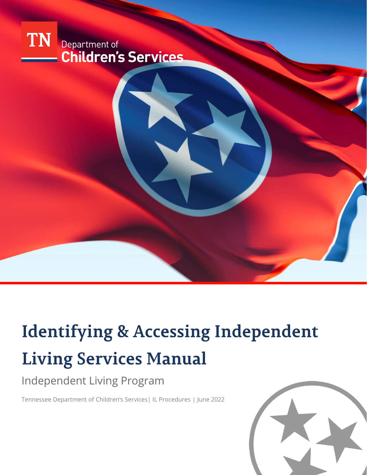

# **Identifying & Accessing Independent Living Services Manual**

# Independent Living Program

Tennessee Department of Children's Services| IL Procedures | June 2022

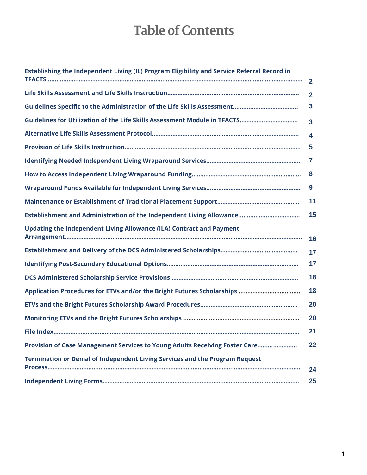# **Table of Contents**

| Establishing the Independent Living (IL) Program Eligibility and Service Referral Record in |              |
|---------------------------------------------------------------------------------------------|--------------|
|                                                                                             | $\mathbf{2}$ |
|                                                                                             | $\mathbf{2}$ |
|                                                                                             | 3            |
|                                                                                             | 3            |
|                                                                                             | 4            |
|                                                                                             | 5            |
|                                                                                             | 7            |
|                                                                                             | 8            |
|                                                                                             | 9            |
|                                                                                             | 11           |
|                                                                                             | 15           |
| <b>Updating the Independent Living Allowance (ILA) Contract and Payment</b>                 | 16           |
|                                                                                             | 17           |
|                                                                                             | 17           |
|                                                                                             | 18           |
|                                                                                             | 18           |
|                                                                                             | 20           |
|                                                                                             | 20           |
|                                                                                             | 21           |
| Provision of Case Management Services to Young Adults Receiving Foster Care                 | 22           |
| Termination or Denial of Independent Living Services and the Program Request                |              |
|                                                                                             | 24<br>25     |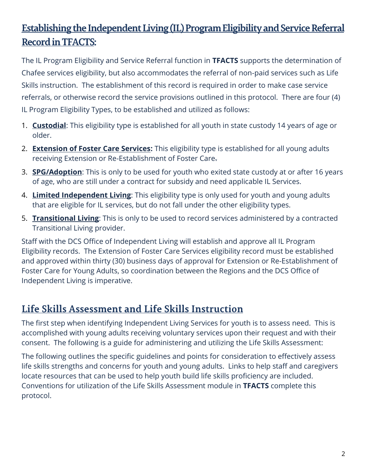## Establishing the Independent Living (IL) Program Eligibility and Service Referral **Record in TFACTS:**

The IL Program Eligibility and Service Referral function in **TFACTS** supports the determination of Chafee services eligibility, but also accommodates the referral of non-paid services such as Life Skills instruction. The establishment of this record is required in order to make case service referrals, or otherwise record the service provisions outlined in this protocol. There are four (4) IL Program Eligibility Types, to be established and utilized as follows:

- 1. **Custodial**: This eligibility type is established for all youth in state custody 14 years of age or older.
- 2. **Extension of Foster Care Services:** This eligibility type is established for all young adults receiving Extension or Re-Establishment of Foster Care.
- 3. **SPG/Adoption**: This is only to be used for youth who exited state custody at or after 16 years of age, who are still under a contract for subsidy and need applicable IL Services.
- 4. **Limited Independent Living**: This eligibility type is only used for youth and young adults that are eligible for IL services, but do not fall under the other eligibility types.
- 5. **Transitional Living**: This is only to be used to record services administered by a contracted Transitional Living provider.

Staff with the DCS Office of Independent Living will establish and approve all IL Program Eligibility records. The Extension of Foster Care Services eligibility record must be established and approved within thirty (30) business days of approval for Extension or Re-Establishment of Foster Care for Young Adults, so coordination between the Regions and the DCS Office of Independent Living is imperative.

## Life Skills Assessment and Life Skills Instruction

The first step when identifying Independent Living Services for youth is to assess need. This is accomplished with young adults receiving voluntary services upon their request and with their consent. The following is a guide for administering and utilizing the Life Skills Assessment:

The following outlines the specific guidelines and points for consideration to effectively assess life skills strengths and concerns for youth and young adults. Links to help staff and caregivers locate resources that can be used to help youth build life skills proficiency are included. Conventions for utilization of the Life Skills Assessment module in **TFACTS** complete this protocol.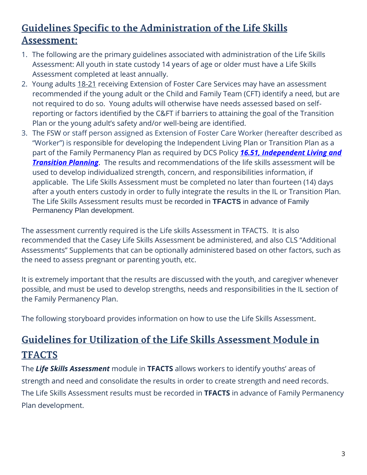# Guidelines Specific to the Administration of the Life Skills Assessment:

- 1. The following are the primary guidelines associated with administration of the Life Skills Assessment: All youth in state custody 14 years of age or older must have a Life Skills Assessment completed at least annually.
- 2. Young adults 18-21 receiving Extension of Foster Care Services may have an assessment recommended if the young adult or the Child and Family Team (CFT) identify a need, but are not required to do so. Young adults will otherwise have needs assessed based on selfreporting or factors identified by the C&FT if barriers to attaining the goal of the Transition Plan or the young adult's safety and/or well-being are identified.
- 3. The FSW or staff person assigned as Extension of Foster Care Worker (hereafter described as "Worker") is responsible for developing the Independent Living Plan or Transition Plan as a part of the Family Permanency Plan as required by DCS Policy *[16.51, Independent Living and](https://files.dcs.tn.gov/policies/chap16/16.51.pdf)  [Transition Planning](https://files.dcs.tn.gov/policies/chap16/16.51.pdf).* The results and recommendations of the life skills assessment will be used to develop individualized strength, concern, and responsibilities information, if applicable. The Life Skills Assessment must be completed no later than fourteen (14) days after a youth enters custody in order to fully integrate the results in the IL or Transition Plan. The Life Skills Assessment results must be recorded in **TFACTS** in advance of Family Permanency Plan development.

The assessment currently required is the Life skills Assessment in TFACTS. It is also recommended that the Casey Life Skills Assessment be administered, and also CLS "Additional Assessments" Supplements that can be optionally administered based on other factors, such as the need to assess pregnant or parenting youth, etc.

It is extremely important that the results are discussed with the youth, and caregiver whenever possible, and must be used to develop strengths, needs and responsibilities in the IL section of the Family Permanency Plan.

The following storyboard provides information on how to use the Life Skills Assessment.

# Guidelines for Utilization of the Life Skills Assessment Module in **TFACTS**

The *Life Skills Assessment* module in **TFACTS** allows workers to identify youths' areas of strength and need and consolidate the results in order to create strength and need records. The Life Skills Assessment results must be recorded in **TFACTS** in advance of Family Permanency Plan development.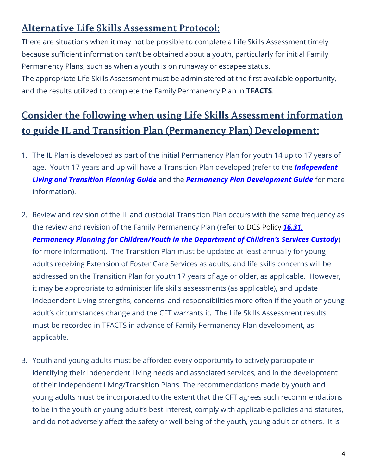## Alternative Life Skills Assessment Protocol:

There are situations when it may not be possible to complete a Life Skills Assessment timely because sufficient information can't be obtained about a youth, particularly for initial Family Permanency Plans, such as when a youth is on runaway or escapee status.

The appropriate Life Skills Assessment must be administered at the first available opportunity, and the results utilized to complete the Family Permanency Plan in **TFACTS**.

# Consider the following when using Life Skills Assessment information to guide IL and Transition Plan (Permanency Plan) Development:

- 1. The IL Plan is developed as part of the initial Permanency Plan for youth 14 up to 17 years of age. Youth 17 years and up will have a Transition Plan developed (refer to the *[Independent](https://files.dcs.tn.gov/policies/chap16/ILTranPlanGuide.pdf)  [Living and Transition Planning Guide](https://files.dcs.tn.gov/policies/chap16/ILTranPlanGuide.pdf)* and the *[Permanency Plan Development Guide](https://files.dcs.tn.gov/policies/chap16/PPDevGuide.pdf)* for more information).
- 2. Review and revision of the IL and custodial Transition Plan occurs with the same frequency as the review and revision of the Family Permanency Plan (refer to DCS Policy *[16.31,](https://files.dcs.tn.gov/policies/chap16/16.31.pdf)  Permanency [Planning for Children/Youth in the Department of Children's Services Custody](https://files.dcs.tn.gov/policies/chap16/16.31.pdf)*) for more information). The Transition Plan must be updated at least annually for young adults receiving Extension of Foster Care Services as adults, and life skills concerns will be addressed on the Transition Plan for youth 17 years of age or older, as applicable. However, it may be appropriate to administer life skills assessments (as applicable), and update Independent Living strengths, concerns, and responsibilities more often if the youth or young adult's circumstances change and the CFT warrants it. The Life Skills Assessment results must be recorded in TFACTS in advance of Family Permanency Plan development, as applicable.
- 3. Youth and young adults must be afforded every opportunity to actively participate in identifying their Independent Living needs and associated services, and in the development of their Independent Living/Transition Plans. The recommendations made by youth and young adults must be incorporated to the extent that the CFT agrees such recommendations to be in the youth or young adult's best interest, comply with applicable policies and statutes, and do not adversely affect the safety or well-being of the youth, young adult or others. It is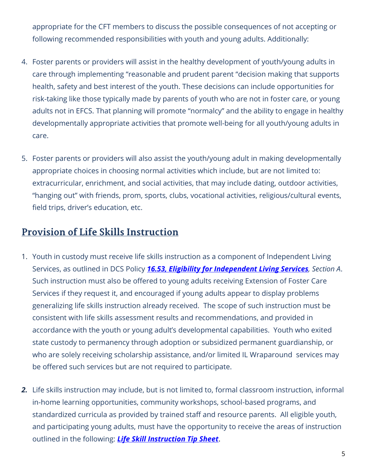appropriate for the CFT members to discuss the possible consequences of not accepting or following recommended responsibilities with youth and young adults. Additionally:

- 4. Foster parents or providers will assist in the healthy development of youth/young adults in care through implementing "reasonable and prudent parent "decision making that supports health, safety and best interest of the youth. These decisions can include opportunities for risk-taking like those typically made by parents of youth who are not in foster care, or young adults not in EFCS. That planning will promote "normalcy" and the ability to engage in healthy developmentally appropriate activities that promote well-being for all youth/young adults in care.
- 5. Foster parents or providers will also assist the youth/young adult in making developmentally appropriate choices in choosing normal activities which include, but are not limited to: extracurricular, enrichment, and social activities, that may include dating, outdoor activities, "hanging out" with friends, prom, sports, clubs, vocational activities, religious/cultural events, field trips, driver's education, etc.

#### **Provision of Life Skills Instruction**

- 1. Youth in custody must receive life skills instruction as a component of Independent Living Services, as outlined in DCS Policy *[16.53, Eligibility for Independent Living Services](https://files.dcs.tn.gov/policies/chap16/16.53.pdf), Section A*. Such instruction must also be offered to young adults receiving Extension of Foster Care Services if they request it, and encouraged if young adults appear to display problems generalizing life skills instruction already received. The scope of such instruction must be consistent with life skills assessment results and recommendations, and provided in accordance with the youth or young adult's developmental capabilities. Youth who exited state custody to permanency through adoption or subsidized permanent guardianship, or who are solely receiving scholarship assistance, and/or limited IL Wraparound services may be offered such services but are not required to participate.
- *2.* Life skills instruction may include, but is not limited to, formal classroom instruction, informal in-home learning opportunities, community workshops, school-based programs, and standardized curricula as provided by trained staff and resource parents. All eligible youth, and participating young adults, must have the opportunity to receive the areas of instruction outlined in the following: *[Life Skill Instruction Tip Sheet](https://www.tn.gov/content/dam/tn/dcs/documents/youthintransition/staff-info/Life_Skills_Instruction_Tips.pdf)*.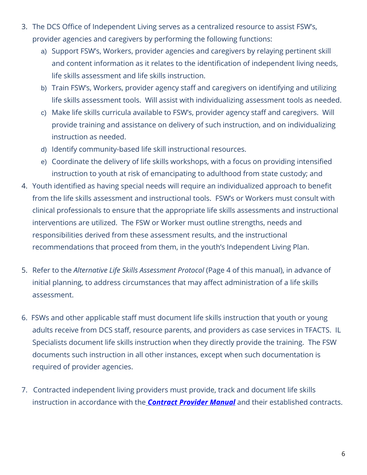- 3. The DCS Office of Independent Living serves as a centralized resource to assist FSW's, provider agencies and caregivers by performing the following functions:
	- a) Support FSW's, Workers, provider agencies and caregivers by relaying pertinent skill and content information as it relates to the identification of independent living needs, life skills assessment and life skills instruction.
	- b) Train FSW's, Workers, provider agency staff and caregivers on identifying and utilizing life skills assessment tools. Will assist with individualizing assessment tools as needed.
	- c) Make life skills curricula available to FSW's, provider agency staff and caregivers. Will provide training and assistance on delivery of such instruction, and on individualizing instruction as needed.
	- d) Identify community-based life skill instructional resources.
	- e) Coordinate the delivery of life skills workshops, with a focus on providing intensified instruction to youth at risk of emancipating to adulthood from state custody; and
- 4. Youth identified as having special needs will require an individualized approach to benefit from the life skills assessment and instructional tools. FSW's or Workers must consult with clinical professionals to ensure that the appropriate life skills assessments and instructional interventions are utilized. The FSW or Worker must outline strengths, needs and responsibilities derived from these assessment results, and the instructional recommendations that proceed from them, in the youth's Independent Living Plan.
- 5. Refer to the *Alternative Life Skills Assessment Protocol* (Page 4 of this manual), in advance of initial planning, to address circumstances that may affect administration of a life skills assessment.
- 6. FSWs and other applicable staff must document life skills instruction that youth or young adults receive from DCS staff, resource parents, and providers as case services in TFACTS. IL Specialists document life skills instruction when they directly provide the training. The FSW documents such instruction in all other instances, except when such documentation is required of provider agencies.
- 7. Contracted independent living providers must provide, track and document life skills instruction in accordance with the *[Contract Provider Manual](https://www.tn.gov/dcs/for-providers/contract-provider-manual.html)* and their established contracts.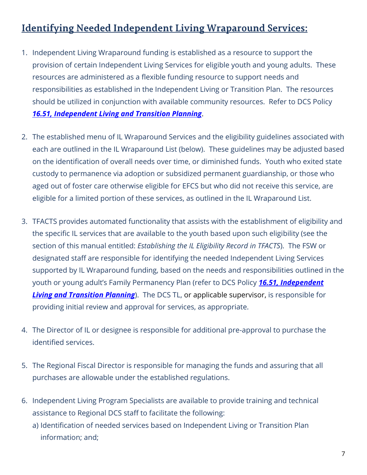## **Identifying Needed Independent Living Wraparound Services:**

- 1. Independent Living Wraparound funding is established as a resource to support the provision of certain Independent Living Services for eligible youth and young adults. These resources are administered as a flexible funding resource to support needs and responsibilities as established in the Independent Living or Transition Plan. The resources should be utilized in conjunction with available community resources. Refer to DCS Policy *[16.51, Independent Living and Transition Planning](https://files.dcs.tn.gov/policies/chap16/16.51.pdf)*.
- 2. The established menu of IL Wraparound Services and the eligibility guidelines associated with each are outlined in the IL Wraparound List (below). These guidelines may be adjusted based on the identification of overall needs over time, or diminished funds. Youth who exited state custody to permanence via adoption or subsidized permanent guardianship, or those who aged out of foster care otherwise eligible for EFCS but who did not receive this service, are eligible for a limited portion of these services, as outlined in the IL Wraparound List.
- 3. TFACTS provides automated functionality that assists with the establishment of eligibility and the specific IL services that are available to the youth based upon such eligibility (see the section of this manual entitled: *Establishing the IL Eligibility Record in TFACTS*). The FSW or designated staff are responsible for identifying the needed Independent Living Services supported by IL Wraparound funding, based on the needs and responsibilities outlined in the youth or young adult's Family Permanency Plan (refer to DCS Policy *[16.51, Independent](https://files.dcs.tn.gov/policies/chap16/16.51.pdf)  [Living and Transition Planning](https://files.dcs.tn.gov/policies/chap16/16.51.pdf)*). The DCS TL, or applicable supervisor, is responsible for providing initial review and approval for services, as appropriate.
- 4. The Director of IL or designee is responsible for additional pre-approval to purchase the identified services.
- 5. The Regional Fiscal Director is responsible for managing the funds and assuring that all purchases are allowable under the established regulations.
- 6. Independent Living Program Specialists are available to provide training and technical assistance to Regional DCS staff to facilitate the following:
	- a) Identification of needed services based on Independent Living or Transition Plan information; and;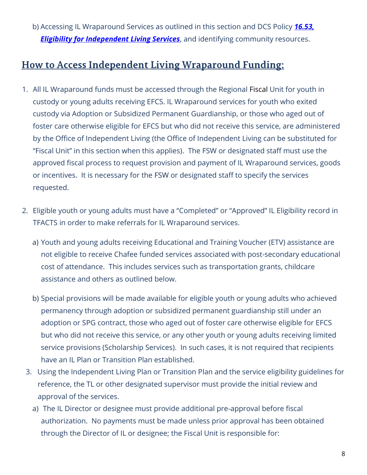b) Accessing IL Wraparound Services as outlined in this section and DCS Policy *[16.53,](https://files.dcs.tn.gov/policies/chap16/16.53.pdf)  [Eligibility for Independent Living Services](https://files.dcs.tn.gov/policies/chap16/16.53.pdf)*, and identifying community resources.

## How to Access Independent Living Wraparound Funding:

- 1. All IL Wraparound funds must be accessed through the Regional Fiscal Unit for youth in custody or young adults receiving EFCS. IL Wraparound services for youth who exited custody via Adoption or Subsidized Permanent Guardianship, or those who aged out of foster care otherwise eligible for EFCS but who did not receive this service, are administered by the Office of Independent Living (the Office of Independent Living can be substituted for "Fiscal Unit" in this section when this applies). The FSW or designated staff must use the approved fiscal process to request provision and payment of IL Wraparound services, goods or incentives. It is necessary for the FSW or designated staff to specify the services requested.
- 2. Eligible youth or young adults must have a "Completed" or "Approved" IL Eligibility record in TFACTS in order to make referrals for IL Wraparound services.
	- a) Youth and young adults receiving Educational and Training Voucher (ETV) assistance are not eligible to receive Chafee funded services associated with post-secondary educational cost of attendance. This includes services such as transportation grants, childcare assistance and others as outlined below.
	- b) Special provisions will be made available for eligible youth or young adults who achieved permanency through adoption or subsidized permanent guardianship still under an adoption or SPG contract, those who aged out of foster care otherwise eligible for EFCS but who did not receive this service, or any other youth or young adults receiving limited service provisions (Scholarship Services). In such cases, it is not required that recipients have an IL Plan or Transition Plan established.
- 3. Using the Independent Living Plan or Transition Plan and the service eligibility guidelines for reference, the TL or other designated supervisor must provide the initial review and approval of the services.
	- a) The IL Director or designee must provide additional pre-approval before fiscal authorization. No payments must be made unless prior approval has been obtained through the Director of IL or designee; the Fiscal Unit is responsible for: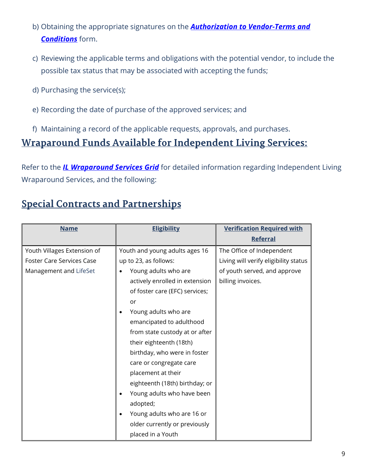- b) Obtaining the appropriate signatures on the *[Authorization to Vendor-Terms and](https://files.dcs.tn.gov/intranet/forms/AutVen.doc)  [Conditions](https://files.dcs.tn.gov/intranet/forms/AutVen.doc)* form.
- c) Reviewing the applicable terms and obligations with the potential vendor, to include the possible tax status that may be associated with accepting the funds;
- d) Purchasing the service(s);
- e) Recording the date of purchase of the approved services; and
- f) Maintaining a record of the applicable requests, approvals, and purchases.

#### <u>Wraparound Funds Available for Independent Living Services:</u>

Refer to the *[IL Wraparound Services Grid](https://www.tn.gov/content/dam/tn/dcs/documents/youthintransition/staff-info/ILWrapGrid.xlsx)* for detailed information regarding Independent Living Wraparound Services, and the following:

## **Special Contracts and Partnerships**

| <b>Name</b>                      | <b>Eligibility</b>             | <b>Verification Required with</b>     |
|----------------------------------|--------------------------------|---------------------------------------|
|                                  |                                | <b>Referral</b>                       |
| Youth Villages Extension of      | Youth and young adults ages 16 | The Office of Independent             |
| <b>Foster Care Services Case</b> | up to 23, as follows:          | Living will verify eligibility status |
| Management and LifeSet           | Young adults who are           | of youth served, and approve          |
|                                  | actively enrolled in extension | billing invoices.                     |
|                                  | of foster care (EFC) services; |                                       |
|                                  | or                             |                                       |
|                                  | Young adults who are           |                                       |
|                                  | emancipated to adulthood       |                                       |
|                                  | from state custody at or after |                                       |
|                                  | their eighteenth (18th)        |                                       |
|                                  | birthday, who were in foster   |                                       |
|                                  | care or congregate care        |                                       |
|                                  | placement at their             |                                       |
|                                  | eighteenth (18th) birthday; or |                                       |
|                                  | Young adults who have been     |                                       |
|                                  | adopted;                       |                                       |
|                                  | Young adults who are 16 or     |                                       |
|                                  | older currently or previously  |                                       |
|                                  | placed in a Youth              |                                       |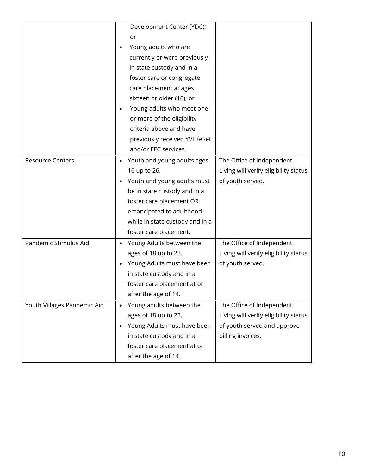|                             | Development Center (YDC);<br>or<br>Young adults who are<br>currently or were previously<br>in state custody and in a<br>foster care or congregate<br>care placement at ages<br>sixteen or older (16); or<br>Young adults who meet one<br>or more of the eligibility<br>criteria above and have<br>previously received YVLifeSet<br>and/or EFC services. |                                                                                                                        |
|-----------------------------|---------------------------------------------------------------------------------------------------------------------------------------------------------------------------------------------------------------------------------------------------------------------------------------------------------------------------------------------------------|------------------------------------------------------------------------------------------------------------------------|
| <b>Resource Centers</b>     | Youth and young adults ages<br>16 up to 26.<br>Youth and young adults must<br>be in state custody and in a<br>foster care placement OR<br>emancipated to adulthood<br>while in state custody and in a<br>foster care placement.                                                                                                                         | The Office of Independent<br>Living will verify eligibility status<br>of youth served.                                 |
| Pandemic Stimulus Aid       | Young Adults between the<br>ages of 18 up to 23.<br>Young Adults must have been<br>in state custody and in a<br>foster care placement at or<br>after the age of 14.                                                                                                                                                                                     | The Office of Independent<br>Living will verify eligibility status<br>of youth served.                                 |
| Youth Villages Pandemic Aid | Young adults between the<br>ages of 18 up to 23.<br>Young Adults must have been<br>in state custody and in a<br>foster care placement at or<br>after the age of 14.                                                                                                                                                                                     | The Office of Independent<br>Living will verify eligibility status<br>of youth served and approve<br>billing invoices. |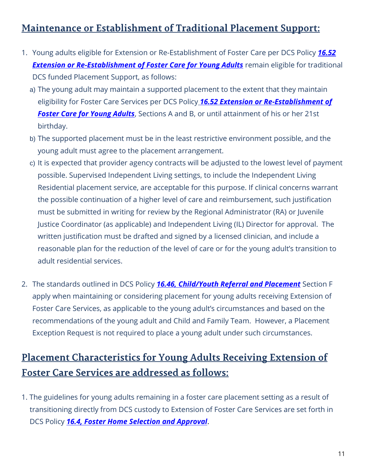## Maintenance or Establishment of Traditional Placement Support:

- 1. Young adults eligible for Extension or Re-Establishment of Foster Care per DCS Policy *[16.52](https://files.dcs.tn.gov/policies/chap16/16.52.pdf)*  **[Extension or Re-Establishment of Foster Care for Young Adults](https://files.dcs.tn.gov/policies/chap16/16.52.pdf)** remain eligible for traditional DCS funded Placement Support, as follows:
	- a) The young adult may maintain a supported placement to the extent that they maintain eligibility for Foster Care Services per DCS Policy *[16.52 Extension or Re-Establishment of](https://files.dcs.tn.gov/policies/chap16/16.52.pdf)  [Foster Care for Young Adults](https://files.dcs.tn.gov/policies/chap16/16.52.pdf)*, Sections A and B, or until attainment of his or her 21st birthday.
	- b) The supported placement must be in the least restrictive environment possible, and the young adult must agree to the placement arrangement.
	- c) It is expected that provider agency contracts will be adjusted to the lowest level of payment possible. Supervised Independent Living settings, to include the Independent Living Residential placement service, are acceptable for this purpose. If clinical concerns warrant the possible continuation of a higher level of care and reimbursement, such justification must be submitted in writing for review by the Regional Administrator (RA) or Juvenile Justice Coordinator (as applicable) and Independent Living (IL) Director for approval. The written justification must be drafted and signed by a licensed clinician, and include a reasonable plan for the reduction of the level of care or for the young adult's transition to adult residential services.
- 2. The standards outlined in DCS Policy *16.46, [Child/Youth Referral and Placement](https://files.dcs.tn.gov/policies/chap16/16.46.pdf)* Section F apply when maintaining or considering placement for young adults receiving Extension of Foster Care Services, as applicable to the young adult's circumstances and based on the recommendations of the young adult and Child and Family Team. However, a Placement Exception Request is not required to place a young adult under such circumstances.

# **Placement Characteristics for Young Adults Receiving Extension of Foster Care Services are addressed as follows:**

1. The guidelines for young adults remaining in a foster care placement setting as a result of transitioning directly from DCS custody to Extension of Foster Care Services are set forth in DCS Policy *16.4, Foster Home [Selection and Approval](https://files.dcs.tn.gov/policies/chap16/16.4.pdf)*.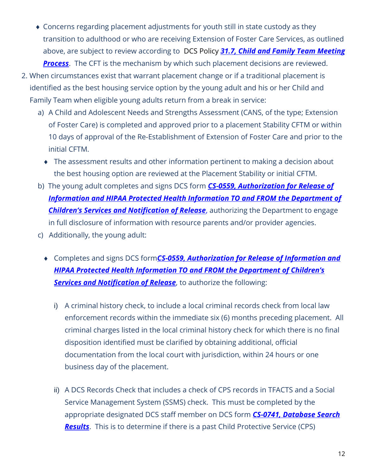- Concerns regarding placement adjustments for youth still in state custody as they transition to adulthood or who are receiving Extension of Foster Care Services, as outlined above, are subject to review according to DCS Policy *[31.7, Child and Family Team Meeting](https://files.dcs.tn.gov/policies/chap31/31.7.pdf)  [Process](https://files.dcs.tn.gov/policies/chap31/31.7.pdf)*. The CFT is the mechanism by which such placement decisions are reviewed.
- 2. When circumstances exist that warrant placement change or if a traditional placement is identified as the best housing service option by the young adult and his or her Child and Family Team when eligible young adults return from a break in service:
	- a) A Child and Adolescent Needs and Strengths Assessment (CANS, of the type; Extension of Foster Care) is completed and approved prior to a placement Stability CFTM or within 10 days of approval of the Re-Establishment of Extension of Foster Care and prior to the initial CFTM.
		- The assessment results and other information pertinent to making a decision about the best housing option are reviewed at the Placement Stability or initial CFTM.
	- b) The young adult completes and signs DCS form *[CS-0559, Authorization for Release](https://files.dcs.tn.gov/forms/0559.doc) of Information [and HIPAA Protected Health Information TO and FROM the Department of](https://files.dcs.tn.gov/forms/0559.doc)  [Children's Services and Notification of Release](https://files.dcs.tn.gov/forms/0559.doc)*, authorizing the Department to engage in full disclosure of information with resource parents and/or provider agencies.
	- c) Additionally, the young adult:
		- Completes and signs DCS form*[CS-0559, Authorization for Release](https://files.dcs.tn.gov/forms/0559.doc) of Information and [HIPAA Protected Health Information TO and FROM the Department of Children's](https://files.dcs.tn.gov/forms/0559.doc)*  **[Services and Notification of Release](https://files.dcs.tn.gov/forms/0559.doc)**, to authorize the following:
			- i) A criminal history check, to include a local criminal records check from local law enforcement records within the immediate six (6) months preceding placement. All criminal charges listed in the local criminal history check for which there is no final disposition identified must be clarified by obtaining additional, official documentation from the local court with jurisdiction, within 24 hours or one business day of the placement.
			- ii) A DCS Records Check that includes a check of CPS records in TFACTS and a Social Service Management System (SSMS) check. This must be completed by the appropriate designated DCS staff member on DCS form *[CS-0741, Database Search](https://files.dcs.tn.gov/forms/0741.doc)  [Results](https://files.dcs.tn.gov/forms/0741.doc)*. This is to determine if there is a past Child Protective Service (CPS)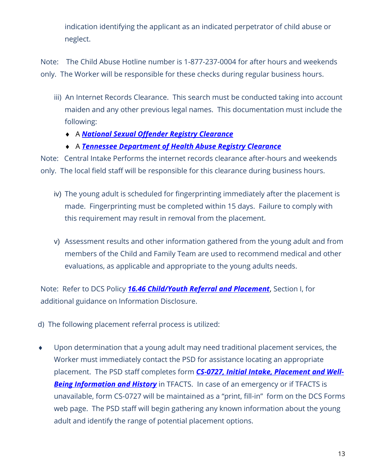indication identifying the applicant as an indicated perpetrator of child abuse or neglect.

Note: The Child Abuse Hotline number is 1-877-237-0004 for after hours and weekends only. The Worker will be responsible for these checks during regular business hours.

- iii) An Internet Records Clearance. This search must be conducted taking into account maiden and any other previous legal names. This documentation must include the following:
	- A *[National Sexual Offender Registry Clearance](https://www.nsopw.gov/)*
	- A *[Tennessee Department of Health Abuse Registry Clearance](https://apps.health.tn.gov/abuseregistry/)*

Note: Central Intake Performs the internet records clearance after-hours and weekends only. The local field staff will be responsible for this clearance during business hours.

- iv) The young adult is scheduled for fingerprinting immediately after the placement is made. Fingerprinting must be completed within 15 days. Failure to comply with this requirement may result in removal from the placement.
- v) Assessment results and other information gathered from the young adult and from members of the Child and Family Team are used to recommend medical and other evaluations, as applicable and appropriate to the young adults needs.

Note: Refer to DCS Policy *[16.46 Child/Youth Referral and Placement](https://files.dcs.tn.gov/policies/chap16/16.46.pdf)*, Section I, for additional guidance on Information Disclosure.

- d) The following placement referral process is utilized:
- Upon determination that a young adult may need traditional placement services, the Worker must immediately contact the PSD for assistance locating an appropriate placement. The PSD staff completes form *[CS-0727, Initial Intake, Placement and Well-](https://files.dcs.tn.gov/intranet/forms/0727.doc)***[Being Information and History](https://files.dcs.tn.gov/intranet/forms/0727.doc)** in TFACTS. In case of an emergency or if TFACTS is unavailable, form CS-0727 will be maintained as a "print, fill-in" form on the DCS Forms web page. The PSD staff will begin gathering any known information about the young adult and identify the range of potential placement options.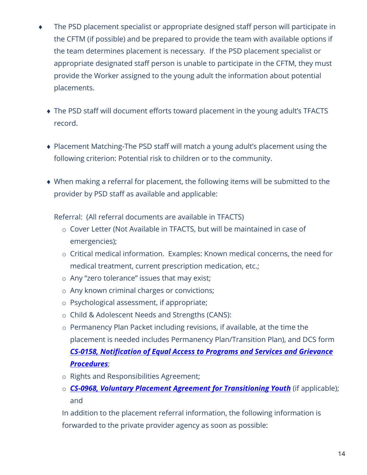- The PSD placement specialist or appropriate designed staff person will participate in the CFTM (if possible) and be prepared to provide the team with available options if the team determines placement is necessary. If the PSD placement specialist or appropriate designated staff person is unable to participate in the CFTM, they must provide the Worker assigned to the young adult the information about potential placements.
	- The PSD staff will document efforts toward placement in the young adult's TFACTS record.
	- Placement Matching-The PSD staff will match a young adult's placement using the following criterion: Potential risk to children or to the community.
	- When making a referral for placement, the following items will be submitted to the provider by PSD staff as available and applicable:

Referral: (All referral documents are available in TFACTS)

- o Cover Letter (Not Available in TFACTS, but will be maintained in case of emergencies);
- o Critical medical information. Examples: Known medical concerns, the need for medical treatment, current prescription medication, etc.;
- o Any "zero tolerance" issues that may exist;
- o Any known criminal charges or convictions;
- o Psychological assessment, if appropriate;
- o Child & Adolescent Needs and Strengths (CANS):
- o Permanency Plan Packet including revisions, if available, at the time the placement is needed includes Permanency Plan/Transition Plan), and DCS form *CS-0158, Notification [of Equal Access to Programs](https://files.dcs.tn.gov/forms/0158.doc) and Services and Grievance [Procedures](https://files.dcs.tn.gov/forms/0158.doc)*;
- o Rights and Responsibilities Agreement;
- o *CS-0968, [Voluntary Placement Agreement for Transitioning Youth](https://files.dcs.tn.gov/intranet/forms/0968.doc)* (if applicable); and

In addition to the placement referral information, the following information is forwarded to the private provider agency as soon as possible: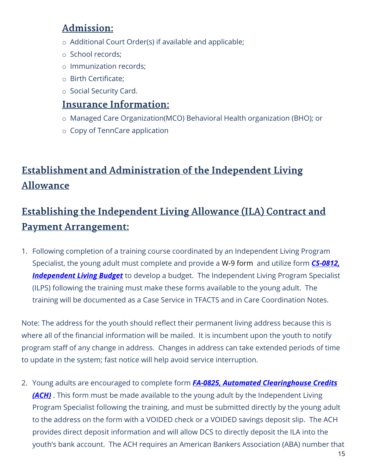## **Admission:**

- o Additional Court Order(s) if available and applicable;
- o School records;
- o Immunization records;
- o Birth Certificate;
- o Social Security Card.

#### **Insurance Information:**

- o Managed Care Organization(MCO) Behavioral Health organization (BHO); or
- o Copy of TennCare application

# **Establishment and Administration of the Independent Living Allowance**

# Establishing the Independent Living Allowance (ILA) Contract and **Payment Arrangement:**

1. Following completion of a training course coordinated by an Independent Living Program Specialist, the young adult must complete and provide a W-9 form and utilize form *[CS-0812,](https://files.dcs.tn.gov/intranet/forms/0812.xlsx)  [Independent Living Budget](https://files.dcs.tn.gov/intranet/forms/0812.xlsx)* to develop a budget. The Independent Living Program Specialist (ILPS) following the training must make these forms available to the young adult. The training will be documented as a Case Service in TFACTS and in Care Coordination Notes.

Note: The address for the youth should reflect their permanent living address because this is where all of the financial information will be mailed. It is incumbent upon the youth to notify program staff of any change in address. Changes in address can take extended periods of time to update in the system; fast notice will help avoid service interruption.

2. Young adults are encouraged to complete form *[FA-0825, Automated Clearinghouse Credits](https://files.dcs.tn.gov/intranet/forms/0825FA.pdf)  [\(ACH\)](https://files.dcs.tn.gov/intranet/forms/0825FA.pdf)* . This form must be made available to the young adult by the Independent Living Program Specialist following the training, and must be submitted directly by the young adult to the address on the form with a VOIDED check or a VOIDED savings deposit slip. The ACH provides direct deposit information and will allow DCS to directly deposit the ILA into the youth's bank account. The ACH requires an American Bankers Association (ABA) number that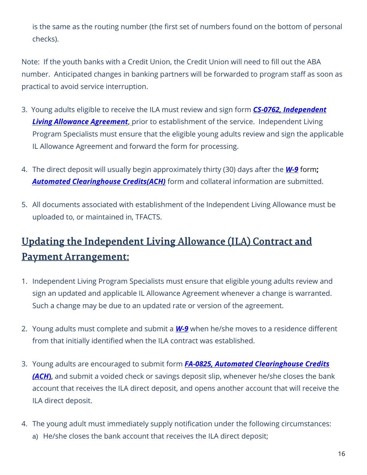is the same as the routing number (the first set of numbers found on the bottom of personal checks).

Note: If the youth banks with a Credit Union, the Credit Union will need to fill out the ABA number. Anticipated changes in banking partners will be forwarded to program staff as soon as practical to avoid service interruption.

- 3. Young adults eligible to receive the ILA must review and sign form *[CS-0762, Independent](https://files.dcs.tn.gov/intranet/forms/0762.doc)  [Living Allowance Agreement](https://files.dcs.tn.gov/intranet/forms/0762.doc)*, prior to establishment of the service. Independent Living Program Specialists must ensure that the eligible young adults review and sign the applicable IL Allowance Agreement and forward the form for processing.
- 4. The direct deposit will usually begin approximately thirty (30) days after the *[W-9](https://files.dcs.tn.gov/forms/W9.pdf)* form**;** *[Automated Clearinghouse Credits\(ACH\)](https://files.dcs.tn.gov/intranet/forms/0825FA.pdf)* form and collateral information are submitted.
- 5. All documents associated with establishment of the Independent Living Allowance must be uploaded to, or maintained in, TFACTS.

# Updating the Independent Living Allowance (ILA) Contract and **Payment Arrangement:**

- 1. Independent Living Program Specialists must ensure that eligible young adults review and sign an updated and applicable IL Allowance Agreement whenever a change is warranted. Such a change may be due to an updated rate or version of the agreement.
- 2. Young adults must complete and submit a *[W-9](https://files.dcs.tn.gov/forms/W9.pdf)* when he/she moves to a residence different from that initially identified when the ILA contract was established.
- 3. Young adults are encouraged to submit form *[FA-0825, Automated Clearinghouse Credits](https://files.dcs.tn.gov/intranet/forms/0825FA.pdf) [\(ACH](https://files.dcs.tn.gov/intranet/forms/0825FA.pdf)***)**, and submit a voided check or savings deposit slip, whenever he/she closes the bank account that receives the ILA direct deposit, and opens another account that will receive the ILA direct deposit.
- 4. The young adult must immediately supply notification under the following circumstances: a) He/she closes the bank account that receives the ILA direct deposit;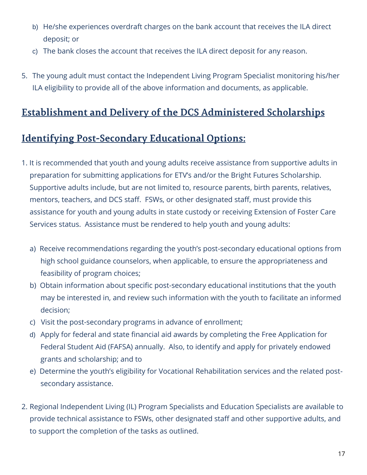- b) He/she experiences overdraft charges on the bank account that receives the ILA direct deposit; or
- c) The bank closes the account that receives the ILA direct deposit for any reason.
- 5. The young adult must contact the Independent Living Program Specialist monitoring his/her ILA eligibility to provide all of the above information and documents, as applicable.

## **Establishment and Delivery of the DCS Administered Scholarships**

## **Identifying Post-Secondary Educational Options:**

- 1. It is recommended that youth and young adults receive assistance from supportive adults in preparation for submitting applications for ETV's and/or the Bright Futures Scholarship. Supportive adults include, but are not limited to, resource parents, birth parents, relatives, mentors, teachers, and DCS staff. FSWs, or other designated staff, must provide this assistance for youth and young adults in state custody or receiving Extension of Foster Care Services status. Assistance must be rendered to help youth and young adults:
	- a) Receive recommendations regarding the youth's post-secondary educational options from high school guidance counselors, when applicable, to ensure the appropriateness and feasibility of program choices;
	- b) Obtain information about specific post-secondary educational institutions that the youth may be interested in, and review such information with the youth to facilitate an informed decision;
	- c) Visit the post-secondary programs in advance of enrollment;
	- d) Apply for federal and state financial aid awards by completing the Free Application for Federal Student Aid (FAFSA) annually. Also, to identify and apply for privately endowed grants and scholarship; and to
	- e) Determine the youth's eligibility for Vocational Rehabilitation services and the related postsecondary assistance.
- 2. Regional Independent Living (IL) Program Specialists and Education Specialists are available to provide technical assistance to FSWs, other designated staff and other supportive adults, and to support the completion of the tasks as outlined.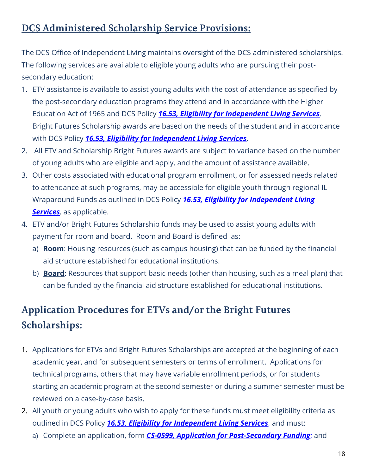## **DCS Administered Scholarship Service Provisions:**

The DCS Office of Independent Living maintains oversight of the DCS administered scholarships. The following services are available to eligible young adults who are pursuing their postsecondary education:

- 1. ETV assistance is available to assist young adults with the cost of attendance as specified by the post-secondary education programs they attend and in accordance with the Higher Education Act of 1965 and DCS Policy *[16.53, Eligibility for Independent Living Services](https://files.dcs.tn.gov/policies/chap16/16.53.pdf)*. Bright Futures Scholarship awards are based on the needs of the student and in accordance with DCS Policy *[16.53, Eligibility for Independent Living Services](https://files.dcs.tn.gov/policies/chap16/16.53.pdf)*.
- 2. All ETV and Scholarship Bright Futures awards are subject to variance based on the number of young adults who are eligible and apply, and the amount of assistance available.
- 3. Other costs associated with educational program enrollment, or for assessed needs related to attendance at such programs, may be accessible for eligible youth through regional IL Wraparound Funds as outlined in DCS Policy *[16.53, Eligibility for Independent Living](https://files.dcs.tn.gov/policies/chap16/16.53.pdf)  [Services](https://files.dcs.tn.gov/policies/chap16/16.53.pdf),* as applicable.
- 4. ETV and/or Bright Futures Scholarship funds may be used to assist young adults with payment for room and board. Room and Board is defined as:
	- a) **Room**: Housing resources (such as campus housing) that can be funded by the financial aid structure established for educational institutions.
	- b) **Board**: Resources that support basic needs (other than housing, such as a meal plan) that can be funded by the financial aid structure established for educational institutions.

# **Application Procedures for ETVs and/or the Bright Futures Scholarships:**

- 1. Applications for ETVs and Bright Futures Scholarships are accepted at the beginning of each academic year, and for subsequent semesters or terms of enrollment. Applications for technical programs, others that may have variable enrollment periods, or for students starting an academic program at the second semester or during a summer semester must be reviewed on a case-by-case basis.
- 2. All youth or young adults who wish to apply for these funds must meet eligibility criteria as outlined in DCS Policy *[16.53, Eligibility for Independent Living Services](https://files.dcs.tn.gov/policies/chap16/16.53.pdf)*, and must:
	- a) Complete an application, form *[CS-0599, Application for Post-Secondary Funding](https://files.dcs.tn.gov/intranet/forms/0599.doc)*; and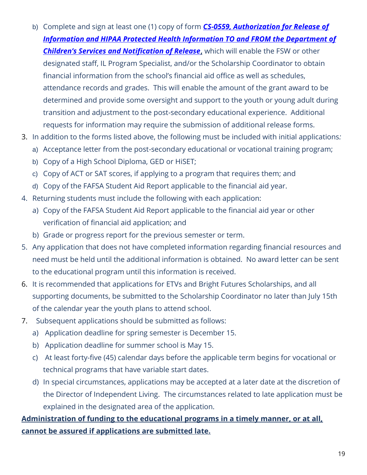- b) Complete and sign at least one (1) copy of form *[CS-0559, Authorization for Release](https://files.dcs.tn.gov/forms/0559.doc) of [Information and HIPAA Protected Health Information TO and FROM the Department of](https://files.dcs.tn.gov/forms/0559.doc)*  **[Children's Services and Notification of Release](https://files.dcs.tn.gov/forms/0559.doc)**, which will enable the FSW or other designated staff, IL Program Specialist, and/or the Scholarship Coordinator to obtain financial information from the school's financial aid office as well as schedules, attendance records and grades. This will enable the amount of the grant award to be determined and provide some oversight and support to the youth or young adult during transition and adjustment to the post-secondary educational experience. Additional requests for information may require the submission of additional release forms.
- 3. In addition to the forms listed above, the following must be included with initial applications*:*
	- a) Acceptance letter from the post-secondary educational or vocational training program;
	- b) Copy of a High School Diploma, GED or HiSET;
	- c) Copy of ACT or SAT scores, if applying to a program that requires them; and
	- d) Copy of the FAFSA Student Aid Report applicable to the financial aid year.
- 4. Returning students must include the following with each application:
	- a) Copy of the FAFSA Student Aid Report applicable to the financial aid year or other verification of financial aid application; and
	- b) Grade or progress report for the previous semester or term.
- 5. Any application that does not have completed information regarding financial resources and need must be held until the additional information is obtained. No award letter can be sent to the educational program until this information is received.
- 6. It is recommended that applications for ETVs and Bright Futures Scholarships, and all supporting documents, be submitted to the Scholarship Coordinator no later than July 15th of the calendar year the youth plans to attend school.
- 7. Subsequent applications should be submitted as follows:
	- a) Application deadline for spring semester is December 15.
	- b) Application deadline for summer school is May 15.
	- c) At least forty-five (45) calendar days before the applicable term begins for vocational or technical programs that have variable start dates.
	- d) In special circumstances, applications may be accepted at a later date at the discretion of the Director of Independent Living. The circumstances related to late application must be explained in the designated area of the application.

#### **Administration of funding to the educational programs in a timely manner, or at all, cannot be assured if applications are submitted late.**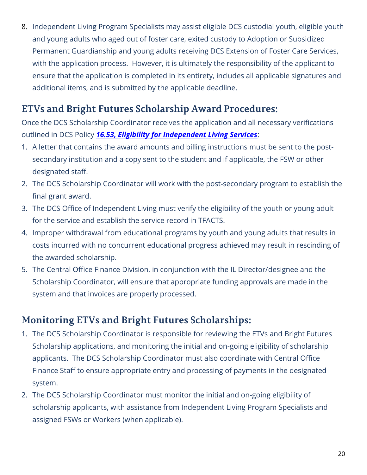8. Independent Living Program Specialists may assist eligible DCS custodial youth, eligible youth and young adults who aged out of foster care, exited custody to Adoption or Subsidized Permanent Guardianship and young adults receiving DCS Extension of Foster Care Services, with the application process. However, it is ultimately the responsibility of the applicant to ensure that the application is completed in its entirety, includes all applicable signatures and additional items, and is submitted by the applicable deadline.

### **ETVs and Bright Futures Scholarship Award Procedures:**

Once the DCS Scholarship Coordinator receives the application and all necessary verifications outlined in DCS Policy *[16.53, Eligibility for Independent Living Services](https://files.dcs.tn.gov/policies/chap16/16.53.pdf)*:

- 1. A letter that contains the award amounts and billing instructions must be sent to the postsecondary institution and a copy sent to the student and if applicable, the FSW or other designated staff.
- 2. The DCS Scholarship Coordinator will work with the post-secondary program to establish the final grant award.
- 3. The DCS Office of Independent Living must verify the eligibility of the youth or young adult for the service and establish the service record in TFACTS.
- 4. Improper withdrawal from educational programs by youth and young adults that results in costs incurred with no concurrent educational progress achieved may result in rescinding of the awarded scholarship.
- 5. The Central Office Finance Division, in conjunction with the IL Director/designee and the Scholarship Coordinator, will ensure that appropriate funding approvals are made in the system and that invoices are properly processed.

#### **Monitoring ETVs and Bright Futures Scholarships:**

- 1. The DCS Scholarship Coordinator is responsible for reviewing the ETVs and Bright Futures Scholarship applications, and monitoring the initial and on-going eligibility of scholarship applicants. The DCS Scholarship Coordinator must also coordinate with Central Office Finance Staff to ensure appropriate entry and processing of payments in the designated system.
- 2. The DCS Scholarship Coordinator must monitor the initial and on-going eligibility of scholarship applicants, with assistance from Independent Living Program Specialists and assigned FSWs or Workers (when applicable).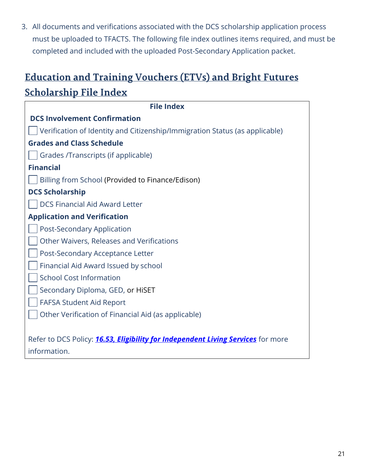3. All documents and verifications associated with the DCS scholarship application process must be uploaded to TFACTS. The following file index outlines items required, and must be completed and included with the uploaded Post-Secondary Application packet.

# **Education and Training Vouchers (ETVs) and Bright Futures Scholarship File Index**

| <b>File Index</b>                                                                       |
|-----------------------------------------------------------------------------------------|
| <b>DCS Involvement Confirmation</b>                                                     |
| Verification of Identity and Citizenship/Immigration Status (as applicable)             |
| <b>Grades and Class Schedule</b>                                                        |
| Grades /Transcripts (if applicable)                                                     |
| <b>Financial</b>                                                                        |
| Billing from School (Provided to Finance/Edison)                                        |
| <b>DCS Scholarship</b>                                                                  |
| <b>DCS Financial Aid Award Letter</b>                                                   |
| <b>Application and Verification</b>                                                     |
| <b>Post-Secondary Application</b>                                                       |
| Other Waivers, Releases and Verifications                                               |
| Post-Secondary Acceptance Letter                                                        |
| Financial Aid Award Issued by school                                                    |
| <b>School Cost Information</b>                                                          |
| Secondary Diploma, GED, or HiSET                                                        |
| <b>FAFSA Student Aid Report</b>                                                         |
| Other Verification of Financial Aid (as applicable)                                     |
|                                                                                         |
| Refer to DCS Policy: <b>16.53, Eligibility for Independent Living Services</b> for more |
| information.                                                                            |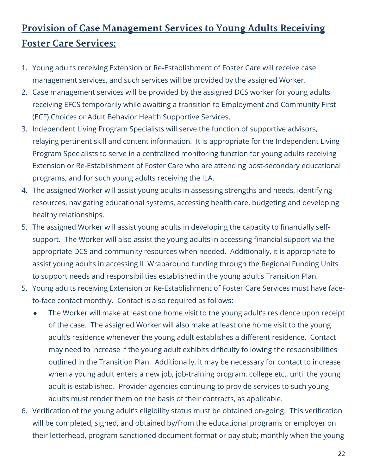# <u>Provision of Case Management Services to Young Adults Receiving</u> **Foster Care Services:**

- 1. Young adults receiving Extension or Re-Establishment of Foster Care will receive case management services, and such services will be provided by the assigned Worker.
- 2. Case management services will be provided by the assigned DCS worker for young adults receiving EFCS temporarily while awaiting a transition to Employment and Community First (ECF) Choices or Adult Behavior Health Supportive Services.
- 3. Independent Living Program Specialists will serve the function of supportive advisors, relaying pertinent skill and content information. It is appropriate for the Independent Living Program Specialists to serve in a centralized monitoring function for young adults receiving Extension or Re-Establishment of Foster Care who are attending post-secondary educational programs, and for such young adults receiving the ILA.
- 4. The assigned Worker will assist young adults in assessing strengths and needs, identifying resources, navigating educational systems, accessing health care, budgeting and developing healthy relationships.
- 5. The assigned Worker will assist young adults in developing the capacity to financially selfsupport. The Worker will also assist the young adults in accessing financial support via the appropriate DCS and community resources when needed. Additionally, it is appropriate to assist young adults in accessing IL Wraparound funding through the Regional Funding Units to support needs and responsibilities established in the young adult's Transition Plan.
- 5. Young adults receiving Extension or Re-Establishment of Foster Care Services must have faceto-face contact monthly. Contact is also required as follows:
	- The Worker will make at least one home visit to the young adult's residence upon receipt of the case. The assigned Worker will also make at least one home visit to the young adult's residence whenever the young adult establishes a different residence. Contact may need to increase if the young adult exhibits difficulty following the responsibilities outlined in the Transition Plan. Additionally, it may be necessary for contact to increase when a young adult enters a new job, job-training program, college etc., until the young adult is established. Provider agencies continuing to provide services to such young adults must render them on the basis of their contracts, as applicable.
- 6. Verification of the young adult's eligibility status must be obtained on-going. This verification will be completed, signed, and obtained by/from the educational programs or employer on their letterhead, program sanctioned document format or pay stub; monthly when the young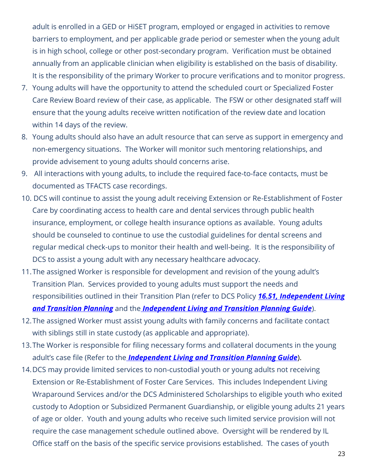adult is enrolled in a GED or HiSET program, employed or engaged in activities to remove barriers to employment, and per applicable grade period or semester when the young adult is in high school, college or other post-secondary program. Verification must be obtained annually from an applicable clinician when eligibility is established on the basis of disability. It is the responsibility of the primary Worker to procure verifications and to monitor progress.

- 7. Young adults will have the opportunity to attend the scheduled court or Specialized Foster Care Review Board review of their case, as applicable. The FSW or other designated staff will ensure that the young adults receive written notification of the review date and location within 14 days of the review.
- 8. Young adults should also have an adult resource that can serve as support in emergency and non-emergency situations. The Worker will monitor such mentoring relationships, and provide advisement to young adults should concerns arise.
- 9. All interactions with young adults, to include the required face-to-face contacts, must be documented as TFACTS case recordings.
- 10. DCS will continue to assist the young adult receiving Extension or Re-Establishment of Foster Care by coordinating access to health care and dental services through public health insurance, employment, or college health insurance options as available. Young adults should be counseled to continue to use the custodial guidelines for dental screens and regular medical check-ups to monitor their health and well-being. It is the responsibility of DCS to assist a young adult with any necessary healthcare advocacy.
- 11.The assigned Worker is responsible for development and revision of the young adult's Transition Plan. Services provided to young adults must support the needs and responsibilities outlined in their Transition Plan (refer to DCS Policy *[16.51, Independent Living](https://files.dcs.tn.gov/policies/chap16/16.51.pdf)  [and Transition Planning](https://files.dcs.tn.gov/policies/chap16/16.51.pdf)* and the *[Independent Living and Transition Planning Guide](https://files.dcs.tn.gov/policies/chap16/ILTranPlanGuide.pdf)*).
- 12.The assigned Worker must assist young adults with family concerns and facilitate contact with siblings still in state custody (as applicable and appropriate).
- 13.The Worker is responsible for filing necessary forms and collateral documents in the young adult's case file (Refer to the *[Independent Living and Transition Planning Guide](https://files.dcs.tn.gov/policies/chap16/ILTranPlanGuide.pdf)*).
- 14.DCS may provide limited services to non-custodial youth or young adults not receiving Extension or Re-Establishment of Foster Care Services. This includes Independent Living Wraparound Services and/or the DCS Administered Scholarships to eligible youth who exited custody to Adoption or Subsidized Permanent Guardianship, or eligible young adults 21 years of age or older. Youth and young adults who receive such limited service provision will not require the case management schedule outlined above. Oversight will be rendered by IL Office staff on the basis of the specific service provisions established. The cases of youth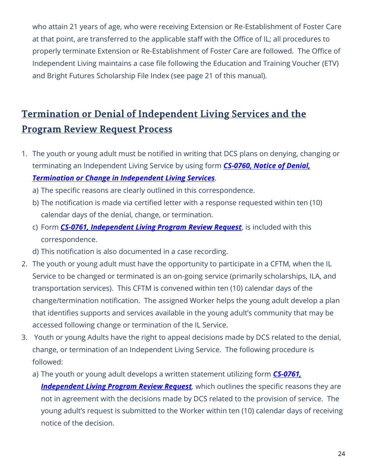who attain 21 years of age, who were receiving Extension or Re-Establishment of Foster Care at that point, are transferred to the applicable staff with the Office of IL; all procedures to properly terminate Extension or Re-Establishment of Foster Care are followed. The Office of Independent Living maintains a case file following the Education and Training Voucher (ETV) and Bright Futures Scholarship File Index (see page 21 of this manual).

# Termination or Denial of Independent Living Services and the **Program Review Request Process**

- 1. The youth or young adult must be notified in writing that DCS plans on denying, changing or terminating an Independent Living Service by using form *[CS-0760, Notice of Denial,](https://files.dcs.tn.gov/intranet/forms/0760.doc)  [Termination or Change in Independent Living Services](https://files.dcs.tn.gov/intranet/forms/0760.doc).* 
	- a) The specific reasons are clearly outlined in this correspondence.
	- b) The notification is made via certified letter with a response requested within ten (10) calendar days of the denial, change, or termination.
	- c) Form *CS-0761, [Independent Living Program Review Request](https://files.dcs.tn.gov/forms/0761.doc)*, is included with this correspondence.
	- d) This notification is also documented in a case recording.
- 2. The youth or young adult must have the opportunity to participate in a CFTM, when the IL Service to be changed or terminated is an on-going service (primarily scholarships, ILA, and transportation services). This CFTM is convened within ten (10) calendar days of the change/termination notification. The assigned Worker helps the young adult develop a plan that identifies supports and services available in the young adult's community that may be accessed following change or termination of the IL Service.
- 3. Youth or young Adults have the right to appeal decisions made by DCS related to the denial, change, or termination of an Independent Living Service. The following procedure is followed:
	- a) The youth or young adult develops a written statement utilizing form *[CS-0761,](https://files.dcs.tn.gov/forms/0761.doc)*  **[Independent Living Program Review Request](https://files.dcs.tn.gov/forms/0761.doc)**, which outlines the specific reasons they are not in agreement with the decisions made by DCS related to the provision of service. The young adult's request is submitted to the Worker within ten (10) calendar days of receiving notice of the decision.